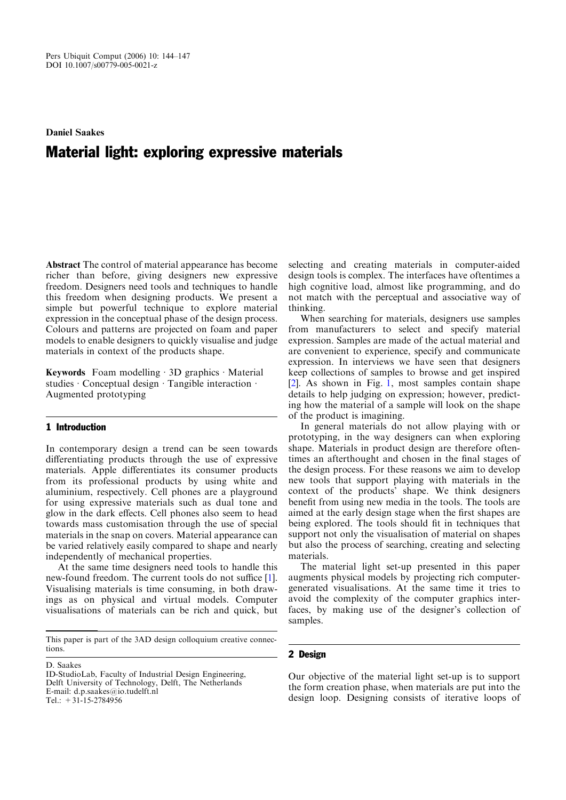# Daniel Saakes Material light: exploring expressive materials

Abstract The control of material appearance has become richer than before, giving designers new expressive freedom. Designers need tools and techniques to handle this freedom when designing products. We present a simple but powerful technique to explore material expression in the conceptual phase of the design process. Colours and patterns are projected on foam and paper models to enable designers to quickly visualise and judge materials in context of the products shape.

Keywords Foam modelling  $\cdot$  3D graphics  $\cdot$  Material studies  $\cdot$  Conceptual design  $\cdot$  Tangible interaction  $\cdot$ Augmented prototyping

## 1 Introduction

In contemporary design a trend can be seen towards differentiating products through the use of expressive materials. Apple differentiates its consumer products from its professional products by using white and aluminium, respectively. Cell phones are a playground for using expressive materials such as dual tone and glow in the dark effects. Cell phones also seem to head towards mass customisation through the use of special materials in the snap on covers. Material appearance can be varied relatively easily compared to shape and nearly independently of mechanical properties.

At the same time designers need tools to handle this new-found freedom. The current tools do not suffice [1]. Visualising materials is time consuming, in both drawings as on physical and virtual models. Computer visualisations of materials can be rich and quick, but

D. Saakes

selecting and creating materials in computer-aided design tools is complex. The interfaces have oftentimes a high cognitive load, almost like programming, and do not match with the perceptual and associative way of thinking.

When searching for materials, designers use samples from manufacturers to select and specify material expression. Samples are made of the actual material and are convenient to experience, specify and communicate expression. In interviews we have seen that designers keep collections of samples to browse and get inspired [2]. As shown in Fig. 1, most samples contain shape details to help judging on expression; however, predicting how the material of a sample will look on the shape of the product is imagining.

In general materials do not allow playing with or prototyping, in the way designers can when exploring shape. Materials in product design are therefore oftentimes an afterthought and chosen in the final stages of the design process. For these reasons we aim to develop new tools that support playing with materials in the context of the products' shape. We think designers benefit from using new media in the tools. The tools are aimed at the early design stage when the first shapes are being explored. The tools should fit in techniques that support not only the visualisation of material on shapes but also the process of searching, creating and selecting materials.

The material light set-up presented in this paper augments physical models by projecting rich computergenerated visualisations. At the same time it tries to avoid the complexity of the computer graphics interfaces, by making use of the designer's collection of samples.

## 2 Design

Our objective of the material light set-up is to support the form creation phase, when materials are put into the design loop. Designing consists of iterative loops of

This paper is part of the 3AD design colloquium creative connections.

ID-StudioLab, Faculty of Industrial Design Engineering, Delft University of Technology, Delft, The Netherlands E-mail: d.p.saakes@io.tudelft.nl Tel.: +31-15-2784956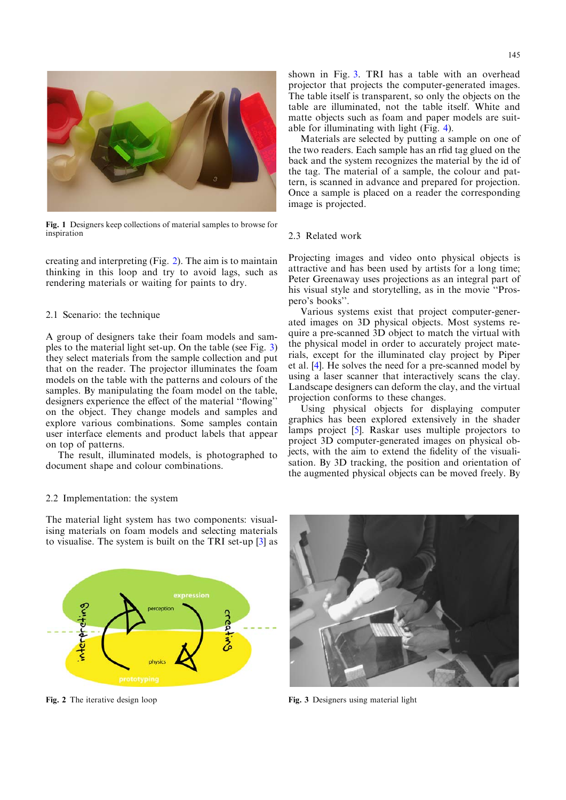

Fig. 1 Designers keep collections of material samples to browse for inspiration

creating and interpreting (Fig. 2). The aim is to maintain thinking in this loop and try to avoid lags, such as rendering materials or waiting for paints to dry.

## 2.1 Scenario: the technique

A group of designers take their foam models and samples to the material light set-up. On the table (see Fig. 3) they select materials from the sample collection and put that on the reader. The projector illuminates the foam models on the table with the patterns and colours of the samples. By manipulating the foam model on the table, designers experience the effect of the material ''flowing'' on the object. They change models and samples and explore various combinations. Some samples contain user interface elements and product labels that appear on top of patterns.

The result, illuminated models, is photographed to document shape and colour combinations.

### 2.2 Implementation: the system

The material light system has two components: visualising materials on foam models and selecting materials to visualise. The system is built on the TRI set-up [3] as



shown in Fig. 3. TRI has a table with an overhead projector that projects the computer-generated images. The table itself is transparent, so only the objects on the table are illuminated, not the table itself. White and matte objects such as foam and paper models are suitable for illuminating with light (Fig. 4).

Materials are selected by putting a sample on one of the two readers. Each sample has an rfid tag glued on the back and the system recognizes the material by the id of the tag. The material of a sample, the colour and pattern, is scanned in advance and prepared for projection. Once a sample is placed on a reader the corresponding image is projected.

## 2.3 Related work

Projecting images and video onto physical objects is attractive and has been used by artists for a long time; Peter Greenaway uses projections as an integral part of his visual style and storytelling, as in the movie ''Prospero's books''.

Various systems exist that project computer-generated images on 3D physical objects. Most systems require a pre-scanned 3D object to match the virtual with the physical model in order to accurately project materials, except for the illuminated clay project by Piper et al. [4]. He solves the need for a pre-scanned model by using a laser scanner that interactively scans the clay. Landscape designers can deform the clay, and the virtual projection conforms to these changes.

Using physical objects for displaying computer graphics has been explored extensively in the shader lamps project [5]. Raskar uses multiple projectors to project 3D computer-generated images on physical objects, with the aim to extend the fidelity of the visualisation. By 3D tracking, the position and orientation of the augmented physical objects can be moved freely. By



Fig. 2 The iterative design loop Fig. 3 Designers using material light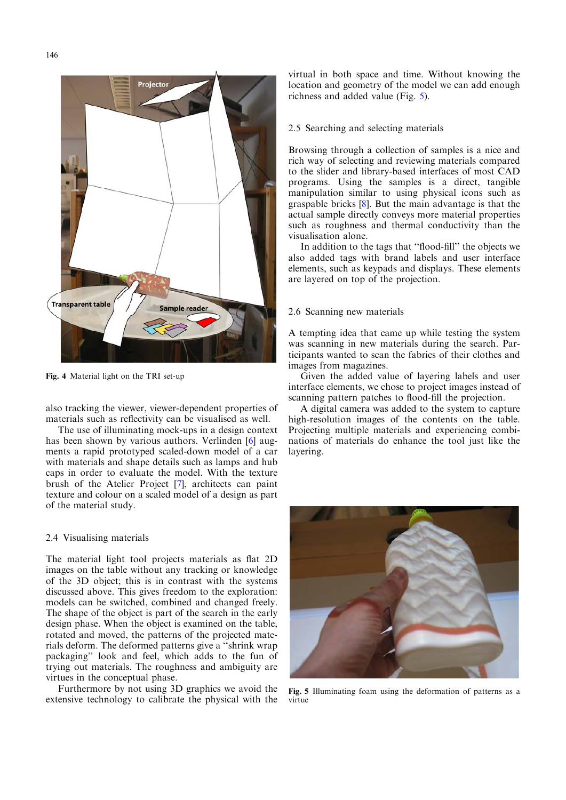

Fig. 4 Material light on the TRI set-up

also tracking the viewer, viewer-dependent properties of materials such as reflectivity can be visualised as well.

The use of illuminating mock-ups in a design context has been shown by various authors. Verlinden [6] augments a rapid prototyped scaled-down model of a car with materials and shape details such as lamps and hub caps in order to evaluate the model. With the texture brush of the Atelier Project [7], architects can paint texture and colour on a scaled model of a design as part of the material study.

#### 2.4 Visualising materials

The material light tool projects materials as flat 2D images on the table without any tracking or knowledge of the 3D object; this is in contrast with the systems discussed above. This gives freedom to the exploration: models can be switched, combined and changed freely. The shape of the object is part of the search in the early design phase. When the object is examined on the table, rotated and moved, the patterns of the projected materials deform. The deformed patterns give a ''shrink wrap packaging'' look and feel, which adds to the fun of trying out materials. The roughness and ambiguity are virtues in the conceptual phase.

Furthermore by not using 3D graphics we avoid the extensive technology to calibrate the physical with the virtual in both space and time. Without knowing the location and geometry of the model we can add enough richness and added value (Fig. 5).

#### 2.5 Searching and selecting materials

Browsing through a collection of samples is a nice and rich way of selecting and reviewing materials compared to the slider and library-based interfaces of most CAD programs. Using the samples is a direct, tangible manipulation similar to using physical icons such as graspable bricks [8]. But the main advantage is that the actual sample directly conveys more material properties such as roughness and thermal conductivity than the visualisation alone.

In addition to the tags that ''flood-fill'' the objects we also added tags with brand labels and user interface elements, such as keypads and displays. These elements are layered on top of the projection.

#### 2.6 Scanning new materials

A tempting idea that came up while testing the system was scanning in new materials during the search. Participants wanted to scan the fabrics of their clothes and images from magazines.

Given the added value of layering labels and user interface elements, we chose to project images instead of scanning pattern patches to flood-fill the projection.

A digital camera was added to the system to capture high-resolution images of the contents on the table. Projecting multiple materials and experiencing combinations of materials do enhance the tool just like the layering.



Fig. 5 Illuminating foam using the deformation of patterns as a virtue